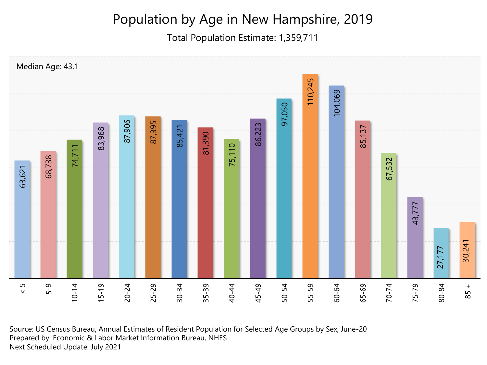## Population by Age in New Hampshire, 2019

Total Population Estimate: 1,359,711



Source: US Census Bureau, Annual Estimates of Resident Population for Selected Age Groups by Sex, June-20 Prepared by: Economic & Labor Market Information Bureau, NHES